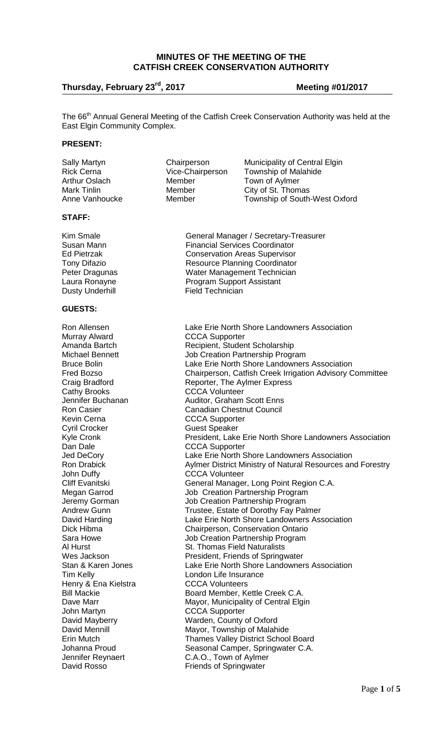## **MINUTES OF THE MEETING OF THE CATFISH CREEK CONSERVATION AUTHORITY**

# **Thursday, February 23rd, 2017 Meeting #01/2017**

The 66<sup>th</sup> Annual General Meeting of the Catfish Creek Conservation Authority was held at the East Elgin Community Complex.

### **PRESENT:**

| Sally Martyn         | Chairperson      | Municipality of Central Elgin        |
|----------------------|------------------|--------------------------------------|
| <b>Rick Cerna</b>    | Vice-Chairperson | <b>Township of Malahide</b>          |
| <b>Arthur Oslach</b> | Member           | Town of Aylmer                       |
| Mark Tinlin          | Member           | City of St. Thomas                   |
| Anne Vanhoucke       | Member           | <b>Township of South-West Oxford</b> |
|                      |                  |                                      |

### **STAFF:**

Dusty Underhill

### **GUESTS:**

Murray Alward CCCA Supporter Cathy Brooks CCCA Volunteer Cyril Crocker Guest Speaker Dan Dale **CCCA** Supporter John Duffy<br>CCCA Volunteer<br>Cliff Evanitski<br>Ceneral Manage Henry & Ena Kielstra **CCCA Volunteers** John Martyn **CCCA Supporter**<br>
David Mayberry **COCA Supporter** 

Kim Smale General Manager / Secretary-Treasurer Susan Mann Financial Services Coordinator<br>Ed Pietrzak Financial Services Supervisor **Conservation Areas Supervisor** Tony Difazio **Resource Planning Coordinator** Peter Dragunas Water Management Technician Program Support Assistant<br>Field Technician

Ron Allensen Lake Erie North Shore Landowners Association<br>Murray Alward CCCA Supporter Amanda Bartch Recipient, Student Scholarship<br>Michael Bennett Job Creation Partnership Progr Michael Bennett Job Creation Partnership Program<br>Bruce Bolin Creation Cake Erie North Shore Landowners Bruce Bolin **Lake Erie North Shore Landowners Association**<br>Fred Bozso **Chairperson, Catfish Creek Irrigation Advisory C** Chairperson, Catfish Creek Irrigation Advisory Committee Craig Bradford **Reporter**, The Aylmer Express Jennifer Buchanan Auditor, Graham Scott Enns Ron Casier Canadian Chestnut Council<br>
Kevin Cerna CCCA Supporter **CCCA Supporter** Kyle Cronk **President, Lake Erie North Shore Landowners Association** Jed DeCory **Lake Erie North Shore Landowners Association**<br>
Ron Drabick **North State State Address** Aylmer District Ministry of Natural Resources an Aylmer District Ministry of Natural Resources and Forestry Cliff Evanitski General Manager, Long Point Region C.A.<br>
Megan Garrod Saris Job Creation Partnership Program Job Creation Partnership Program Jeremy Gorman and Job Creation Partnership Program<br>Andrew Gunn and Trustee, Estate of Dorothy Fay Pal Andrew Gunn Trustee, Estate of Dorothy Fay Palmer<br>David Harding The State Erie North Shore Landowners Ass David Harding<br>
Dick Hibma<br>
Chairperson. Conservation Ontario Chairperson, Conservation Ontario Sara Howe **Sara Howe** Job Creation Partnership Program<br>Al Hurst **Al Hurst** St. Thomas Field Naturalists Al Hurst St. Thomas Field Naturalists<br>
Wes Jackson St. Thomas Field Naturalists<br>
President. Friends of Spring Wes Jackson **President, Friends of Springwater**<br>
Stan & Karen Jones **Connect Lake Erie North Shore Landowner** Stan & Karen Jones Lake Erie North Shore Landowners Association London Life Insurance Bill Mackie **Board Member, Kettle Creek C.A.** Dave Marr **Marr Mayor, Municipality of Central Elgin**<br>
John Martyn **Marrow CCCA** Supporter David Mayberry **Natillack County of Oxford**<br>David Mennill **David Mayor**, Township of Malah David Mennill **David Mennill**<br>
Erin Mutch Mutch **Matter Communist Communist Communist Communist Communist Communist Communist Communist Commun** Thames Valley District School Board Johanna Proud **Seasonal Camper, Springwater C.A.**<br>Jennifer Reynaert **Seasonal C.A.O., Town of Aylmer** C.A.O., Town of Aylmer David Rosso **Friends** of Springwater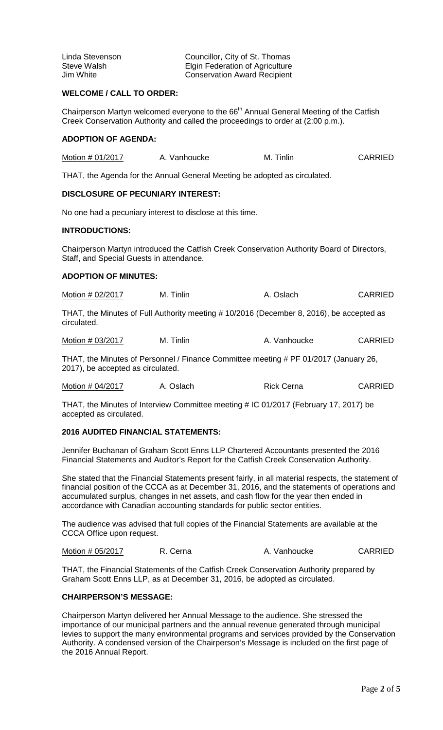| Linda Stevenson | Councillor, City of St. Thomas         |
|-----------------|----------------------------------------|
| Steve Walsh     | <b>Elgin Federation of Agriculture</b> |
| Jim White       | <b>Conservation Award Recipient</b>    |

## **WELCOME / CALL TO ORDER:**

Chairperson Martyn welcomed everyone to the  $66<sup>th</sup>$  Annual General Meeting of the Catfish Creek Conservation Authority and called the proceedings to order at (2:00 p.m.).

### **ADOPTION OF AGENDA:**

| Motion # 01/2017 | A. Vanhoucke | M. Tinlin | <b>CARRIED</b> |
|------------------|--------------|-----------|----------------|
|                  |              |           |                |

THAT, the Agenda for the Annual General Meeting be adopted as circulated.

# **DISCLOSURE OF PECUNIARY INTEREST:**

No one had a pecuniary interest to disclose at this time.

### **INTRODUCTIONS:**

Chairperson Martyn introduced the Catfish Creek Conservation Authority Board of Directors, Staff, and Special Guests in attendance.

## **ADOPTION OF MINUTES:**

| Motion # 02/2017 | M. Tinlin | A. Oslach | <b>CARRIED</b> |
|------------------|-----------|-----------|----------------|
|------------------|-----------|-----------|----------------|

THAT, the Minutes of Full Authority meeting # 10/2016 (December 8, 2016), be accepted as circulated.

Motion # 03/2017 M. Tinlin M. Tinlin A. Vanhoucke CARRIED

THAT, the Minutes of Personnel / Finance Committee meeting # PF 01/2017 (January 26, 2017), be accepted as circulated.

| Motion # 04/2017 | A. Oslach | <b>CARRIED</b><br><b>Rick Cerna</b> |
|------------------|-----------|-------------------------------------|
|------------------|-----------|-------------------------------------|

THAT, the Minutes of Interview Committee meeting # IC 01/2017 (February 17, 2017) be accepted as circulated.

## **2016 AUDITED FINANCIAL STATEMENTS:**

Jennifer Buchanan of Graham Scott Enns LLP Chartered Accountants presented the 2016 Financial Statements and Auditor's Report for the Catfish Creek Conservation Authority.

She stated that the Financial Statements present fairly, in all material respects, the statement of financial position of the CCCA as at December 31, 2016, and the statements of operations and accumulated surplus, changes in net assets, and cash flow for the year then ended in accordance with Canadian accounting standards for public sector entities.

The audience was advised that full copies of the Financial Statements are available at the CCCA Office upon request.

Motion # 05/2017 R. Cerna A. Vanhoucke CARRIED

THAT, the Financial Statements of the Catfish Creek Conservation Authority prepared by Graham Scott Enns LLP, as at December 31, 2016, be adopted as circulated.

### **CHAIRPERSON'S MESSAGE:**

Chairperson Martyn delivered her Annual Message to the audience. She stressed the importance of our municipal partners and the annual revenue generated through municipal levies to support the many environmental programs and services provided by the Conservation Authority. A condensed version of the Chairperson's Message is included on the first page of the 2016 Annual Report.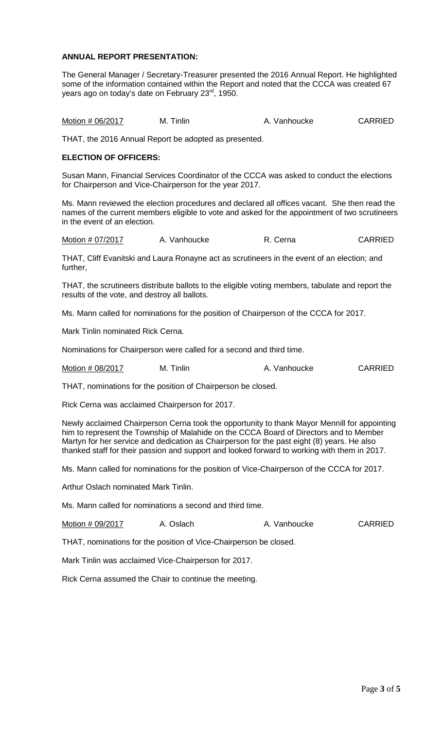## **ANNUAL REPORT PRESENTATION:**

The General Manager / Secretary-Treasurer presented the 2016 Annual Report. He highlighted some of the information contained within the Report and noted that the CCCA was created 67 years ago on today's date on February 23<sup>rd</sup>, 1950.

Motion # 06/2017 M. Tinlin A. Vanhoucke CARRIED

THAT, the 2016 Annual Report be adopted as presented.

## **ELECTION OF OFFICERS:**

Susan Mann, Financial Services Coordinator of the CCCA was asked to conduct the elections for Chairperson and Vice-Chairperson for the year 2017.

Ms. Mann reviewed the election procedures and declared all offices vacant. She then read the names of the current members eligible to vote and asked for the appointment of two scrutineers in the event of an election.

Motion # 07/2017 A. Vanhoucke R. Cerna CARRIED

THAT, Cliff Evanitski and Laura Ronayne act as scrutineers in the event of an election; and further,

THAT, the scrutineers distribute ballots to the eligible voting members, tabulate and report the results of the vote, and destroy all ballots.

Ms. Mann called for nominations for the position of Chairperson of the CCCA for 2017.

Mark Tinlin nominated Rick Cerna.

Nominations for Chairperson were called for a second and third time.

Motion # 08/2017 M. Tinlin A. Vanhoucke CARRIED

THAT, nominations for the position of Chairperson be closed.

Rick Cerna was acclaimed Chairperson for 2017.

Newly acclaimed Chairperson Cerna took the opportunity to thank Mayor Mennill for appointing him to represent the Township of Malahide on the CCCA Board of Directors and to Member Martyn for her service and dedication as Chairperson for the past eight (8) years. He also thanked staff for their passion and support and looked forward to working with them in 2017.

Ms. Mann called for nominations for the position of Vice-Chairperson of the CCCA for 2017.

Arthur Oslach nominated Mark Tinlin.

Ms. Mann called for nominations a second and third time.

Motion # 09/2017 A. Oslach A. Vanhoucke CARRIED

THAT, nominations for the position of Vice-Chairperson be closed.

Mark Tinlin was acclaimed Vice-Chairperson for 2017.

Rick Cerna assumed the Chair to continue the meeting.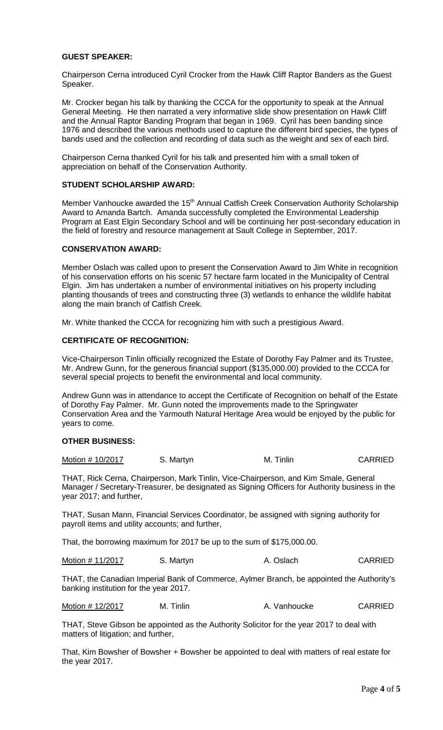## **GUEST SPEAKER:**

Chairperson Cerna introduced Cyril Crocker from the Hawk Cliff Raptor Banders as the Guest Speaker.

Mr. Crocker began his talk by thanking the CCCA for the opportunity to speak at the Annual General Meeting. He then narrated a very informative slide show presentation on Hawk Cliff and the Annual Raptor Banding Program that began in 1969. Cyril has been banding since 1976 and described the various methods used to capture the different bird species, the types of bands used and the collection and recording of data such as the weight and sex of each bird.

Chairperson Cerna thanked Cyril for his talk and presented him with a small token of appreciation on behalf of the Conservation Authority.

## **STUDENT SCHOLARSHIP AWARD:**

Member Vanhoucke awarded the 15<sup>th</sup> Annual Catfish Creek Conservation Authority Scholarship Award to Amanda Bartch. Amanda successfully completed the Environmental Leadership Program at East Elgin Secondary School and will be continuing her post-secondary education in the field of forestry and resource management at Sault College in September, 2017.

### **CONSERVATION AWARD:**

Member Oslach was called upon to present the Conservation Award to Jim White in recognition of his conservation efforts on his scenic 57 hectare farm located in the Municipality of Central Elgin. Jim has undertaken a number of environmental initiatives on his property including planting thousands of trees and constructing three (3) wetlands to enhance the wildlife habitat along the main branch of Catfish Creek.

Mr. White thanked the CCCA for recognizing him with such a prestigious Award.

## **CERTIFICATE OF RECOGNITION:**

Vice-Chairperson Tinlin officially recognized the Estate of Dorothy Fay Palmer and its Trustee, Mr. Andrew Gunn, for the generous financial support (\$135,000.00) provided to the CCCA for several special projects to benefit the environmental and local community.

Andrew Gunn was in attendance to accept the Certificate of Recognition on behalf of the Estate of Dorothy Fay Palmer. Mr. Gunn noted the improvements made to the Springwater Conservation Area and the Yarmouth Natural Heritage Area would be enjoyed by the public for years to come.

### **OTHER BUSINESS:**

| Motion # 10/2017 | S. Martyn | M. Tinlin | <b>CARRIED</b> |
|------------------|-----------|-----------|----------------|
|------------------|-----------|-----------|----------------|

THAT, Rick Cerna, Chairperson, Mark Tinlin, Vice-Chairperson, and Kim Smale, General Manager / Secretary-Treasurer, be designated as Signing Officers for Authority business in the year 2017; and further,

THAT, Susan Mann, Financial Services Coordinator, be assigned with signing authority for payroll items and utility accounts; and further,

That, the borrowing maximum for 2017 be up to the sum of \$175,000.00.

Motion # 11/2017 S. Martyn G. A. Oslach CARRIED

THAT, the Canadian Imperial Bank of Commerce, Aylmer Branch, be appointed the Authority's banking institution for the year 2017.

| Motion # 12/2017<br>M. Tinlin | A. Vanhoucke | <b>CARRIED</b> |
|-------------------------------|--------------|----------------|
|-------------------------------|--------------|----------------|

THAT, Steve Gibson be appointed as the Authority Solicitor for the year 2017 to deal with matters of litigation; and further,

That, Kim Bowsher of Bowsher + Bowsher be appointed to deal with matters of real estate for the year 2017.